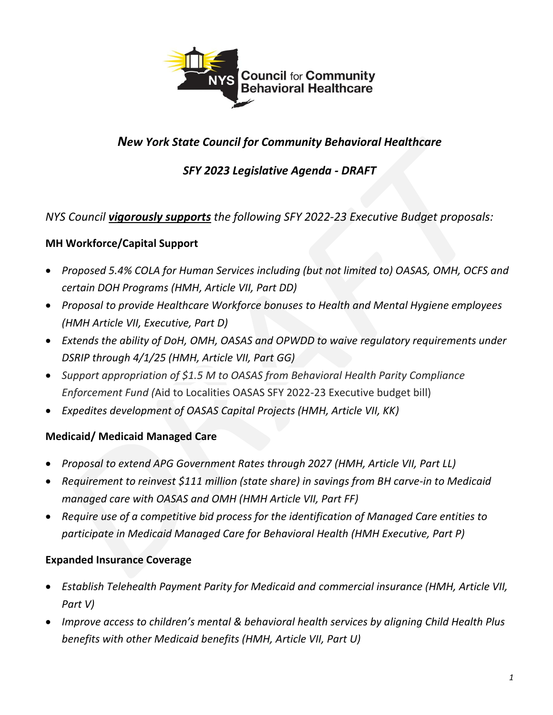

# *New York State Council for Community Behavioral Healthcare*

# *SFY 2023 Legislative Agenda - DRAFT*

### *NYS Council vigorously supports the following SFY 2022-23 Executive Budget proposals:*

#### **MH Workforce/Capital Support**

- *Proposed 5.4% COLA for Human Services including (but not limited to) OASAS, OMH, OCFS and certain DOH Programs (HMH, Article VII, Part DD)*
- *Proposal to provide Healthcare Workforce bonuses to Health and Mental Hygiene employees (HMH Article VII, Executive, Part D)*
- *Extends the ability of DoH, OMH, OASAS and OPWDD to waive regulatory requirements under DSRIP through 4/1/25 (HMH, Article VII, Part GG)*
- *Support appropriation of \$1.5 M to OASAS from Behavioral Health Parity Compliance Enforcement Fund (*Aid to Localities OASAS SFY 2022-23 Executive budget bill)
- *Expedites development of OASAS Capital Projects (HMH, Article VII, KK)*

### **Medicaid/ Medicaid Managed Care**

- *Proposal to extend APG Government Rates through 2027 (HMH, Article VII, Part LL)*
- *Requirement to reinvest \$111 million (state share) in savings from BH carve-in to Medicaid managed care with OASAS and OMH (HMH Article VII, Part FF)*
- *Require use of a competitive bid process for the identification of Managed Care entities to participate in Medicaid Managed Care for Behavioral Health (HMH Executive, Part P)*

### **Expanded Insurance Coverage**

- *Establish Telehealth Payment Parity for Medicaid and commercial insurance (HMH, Article VII, Part V)*
- *Improve access to children's mental & behavioral health services by aligning Child Health Plus benefits with other Medicaid benefits (HMH, Article VII, Part U)*